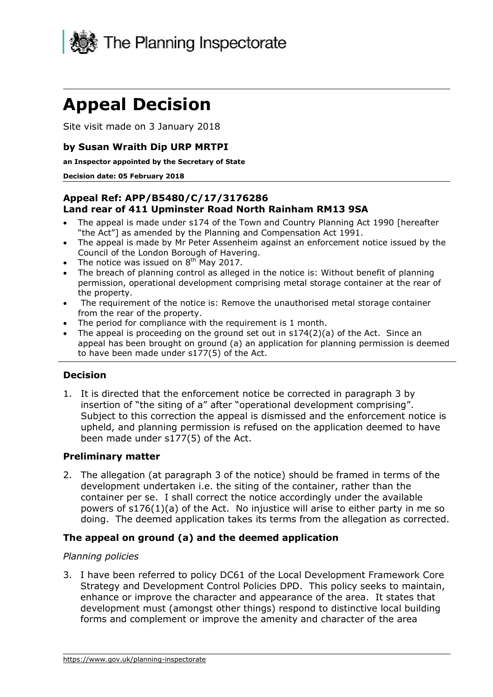

# **Appeal Decision**

Site visit made on 3 January 2018

## **by Susan Wraith Dip URP MRTPI**

 **an Inspector appointed by the Secretary of State** 

#### **Decision date: 05 February 2018**

## **Appeal Ref: APP/B5480/C/17/3176286 Land rear of 411 Upminster Road North Rainham RM13 9SA**

- The appeal is made under s174 of the Town and Country Planning Act 1990 [hereafter "the Act"] as amended by the Planning and Compensation Act 1991.
- The appeal is made by Mr Peter Assenheim against an enforcement notice issued by the Council of the London Borough of Havering.
- The notice was issued on  $8<sup>th</sup>$  May 2017.
- permission, operational development comprising metal storage container at the rear of The breach of planning control as alleged in the notice is: Without benefit of planning the property.
- from the rear of the property. The requirement of the notice is: Remove the unauthorised metal storage container
- The period for compliance with the requirement is 1 month.
- The appeal is proceeding on the ground set out in s174(2)(a) of the Act. Since an appeal has been brought on ground (a) an application for planning permission is deemed to have been made under s177(5) of the Act.

#### **Decision**

 1. It is directed that the enforcement notice be corrected in paragraph 3 by insertion of "the siting of a" after "operational development comprising". Subject to this correction the appeal is dismissed and the enforcement notice is upheld, and planning permission is refused on the application deemed to have been made under s177(5) of the Act.

## **Preliminary matter**

 development undertaken i.e. the siting of the container, rather than the container per se. I shall correct the notice accordingly under the available powers of s176(1)(a) of the Act. No injustice will arise to either party in me so doing. The deemed application takes its terms from the allegation as corrected. 2. The allegation (at paragraph 3 of the notice) should be framed in terms of the

## **The appeal on ground (a) and the deemed application**

#### *Planning policies*

 3. I have been referred to policy DC61 of the Local Development Framework Core Strategy and Development Control Policies DPD. This policy seeks to maintain, enhance or improve the character and appearance of the area. It states that development must (amongst other things) respond to distinctive local building forms and complement or improve the amenity and character of the area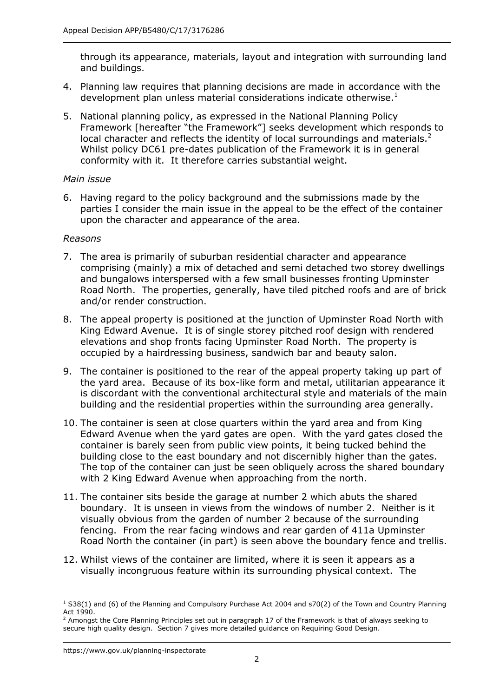through its appearance, materials, layout and integration with surrounding land and buildings.

- 4. Planning law requires that planning decisions are made in accordance with the development plan unless material considerations indicate otherwise. $1$
- 5. National planning policy, as expressed in the National Planning Policy local character and reflects the identity of local surroundings and materials.<sup>2</sup> Whilst policy DC61 pre-dates publication of the Framework it is in general conformity with it. It therefore carries substantial weight. Framework [hereafter "the Framework"] seeks development which responds to

#### *Main issue*

 6. Having regard to the policy background and the submissions made by the parties I consider the main issue in the appeal to be the effect of the container upon the character and appearance of the area.

#### *Reasons*

- 7. The area is primarily of suburban residential character and appearance comprising (mainly) a mix of detached and semi detached two storey dwellings and bungalows interspersed with a few small businesses fronting Upminster Road North. The properties, generally, have tiled pitched roofs and are of brick and/or render construction.
- 8. The appeal property is positioned at the junction of Upminster Road North with King Edward Avenue. It is of single storey pitched roof design with rendered elevations and shop fronts facing Upminster Road North. The property is occupied by a hairdressing business, sandwich bar and beauty salon.
- 9. The container is positioned to the rear of the appeal property taking up part of the yard area. Because of its box-like form and metal, utilitarian appearance it is discordant with the conventional architectural style and materials of the main building and the residential properties within the surrounding area generally.
- 10. The container is seen at close quarters within the yard area and from King Edward Avenue when the yard gates are open. With the yard gates closed the container is barely seen from public view points, it being tucked behind the building close to the east boundary and not discernibly higher than the gates. The top of the container can just be seen obliquely across the shared boundary with 2 King Edward Avenue when approaching from the north.
- boundary. It is unseen in views from the windows of number 2. Neither is it fencing. From the rear facing windows and rear garden of 411a Upminster Road North the container (in part) is seen above the boundary fence and trellis. 11. The container sits beside the garage at number 2 which abuts the shared visually obvious from the garden of number 2 because of the surrounding
- visually incongruous feature within its surrounding physical context. The 12. Whilst views of the container are limited, where it is seen it appears as a

j  $1$  S38(1) and (6) of the Planning and Compulsory Purchase Act 2004 and s70(2) of the Town and Country Planning Act 1990.

 $^2$  Amongst the Core Planning Principles set out in paragraph 17 of the Framework is that of always seeking to secure high quality design. Section 7 gives more detailed guidance on Requiring Good Design.